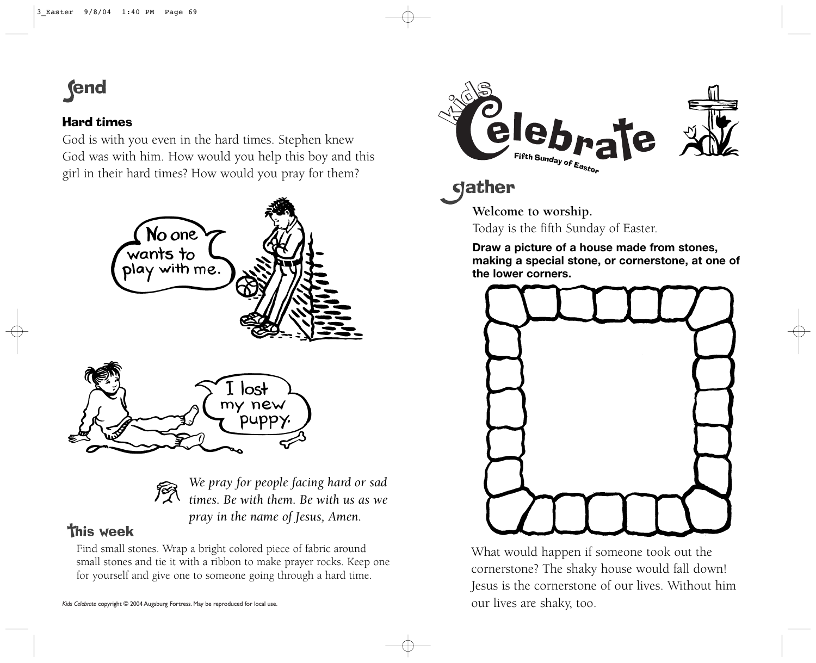## **fend**

## Hard times

God is with you even in the hard times. Stephen knew God was with him. How would you help this boy and this girl in their hard times? How would you pray for them?





*We pray for people facing hard or sad times. Be with them. Be with us as we pray in the name of Jesus, Amen.*

## **This week**

Find small stones. Wrap a bright colored piece of fabric around small stones and tie it with a ribbon to make prayer rocks. Keep one for yourself and give one to someone going through a hard time.



dather

**Welcome to worship.** Today is the fifth Sunday of Easter.

**Draw a picture of a house made from stones, making a special stone, or cornerstone, at one of the lower corners.** 



What would happen if someone took out the cornerstone? The shaky house would fall down! Jesus is the cornerstone of our lives. Without him our lives are shaky, too.